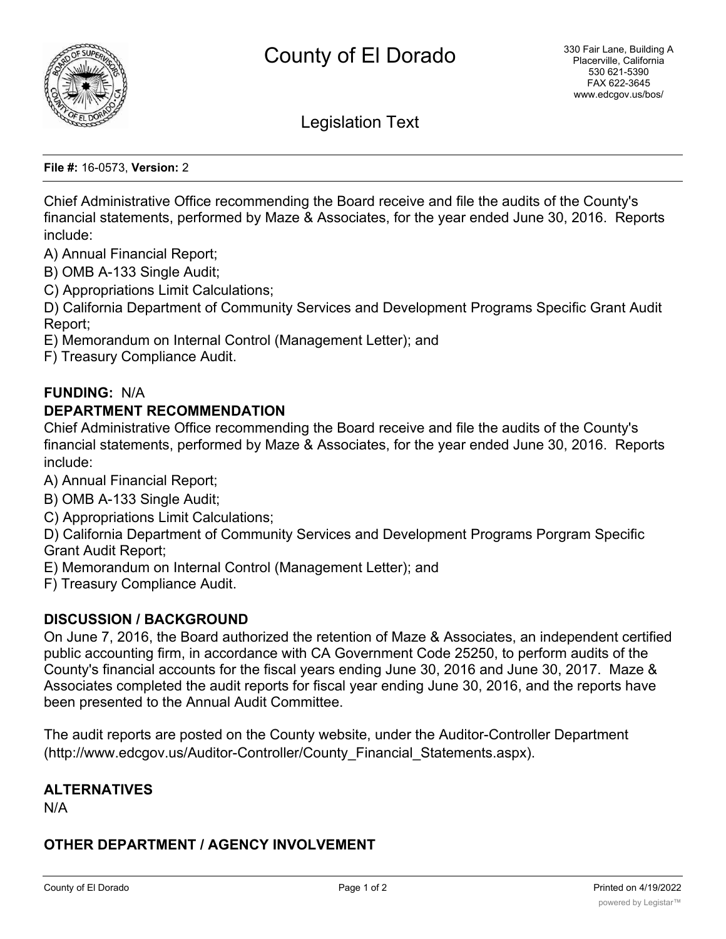

Legislation Text

**File #:** 16-0573, **Version:** 2

Chief Administrative Office recommending the Board receive and file the audits of the County's financial statements, performed by Maze & Associates, for the year ended June 30, 2016. Reports include:

A) Annual Financial Report;

B) OMB A-133 Single Audit;

C) Appropriations Limit Calculations;

D) California Department of Community Services and Development Programs Specific Grant Audit Report;

E) Memorandum on Internal Control (Management Letter); and

F) Treasury Compliance Audit.

#### **FUNDING:** N/A

### **DEPARTMENT RECOMMENDATION**

Chief Administrative Office recommending the Board receive and file the audits of the County's financial statements, performed by Maze & Associates, for the year ended June 30, 2016. Reports include:

A) Annual Financial Report;

- B) OMB A-133 Single Audit;
- C) Appropriations Limit Calculations;

D) California Department of Community Services and Development Programs Porgram Specific Grant Audit Report;

- E) Memorandum on Internal Control (Management Letter); and
- F) Treasury Compliance Audit.

## **DISCUSSION / BACKGROUND**

On June 7, 2016, the Board authorized the retention of Maze & Associates, an independent certified public accounting firm, in accordance with CA Government Code 25250, to perform audits of the County's financial accounts for the fiscal years ending June 30, 2016 and June 30, 2017. Maze & Associates completed the audit reports for fiscal year ending June 30, 2016, and the reports have been presented to the Annual Audit Committee.

The audit reports are posted on the County website, under the Auditor-Controller Department (http://www.edcgov.us/Auditor-Controller/County\_Financial\_Statements.aspx).

### **ALTERNATIVES**

N/A

## **OTHER DEPARTMENT / AGENCY INVOLVEMENT**